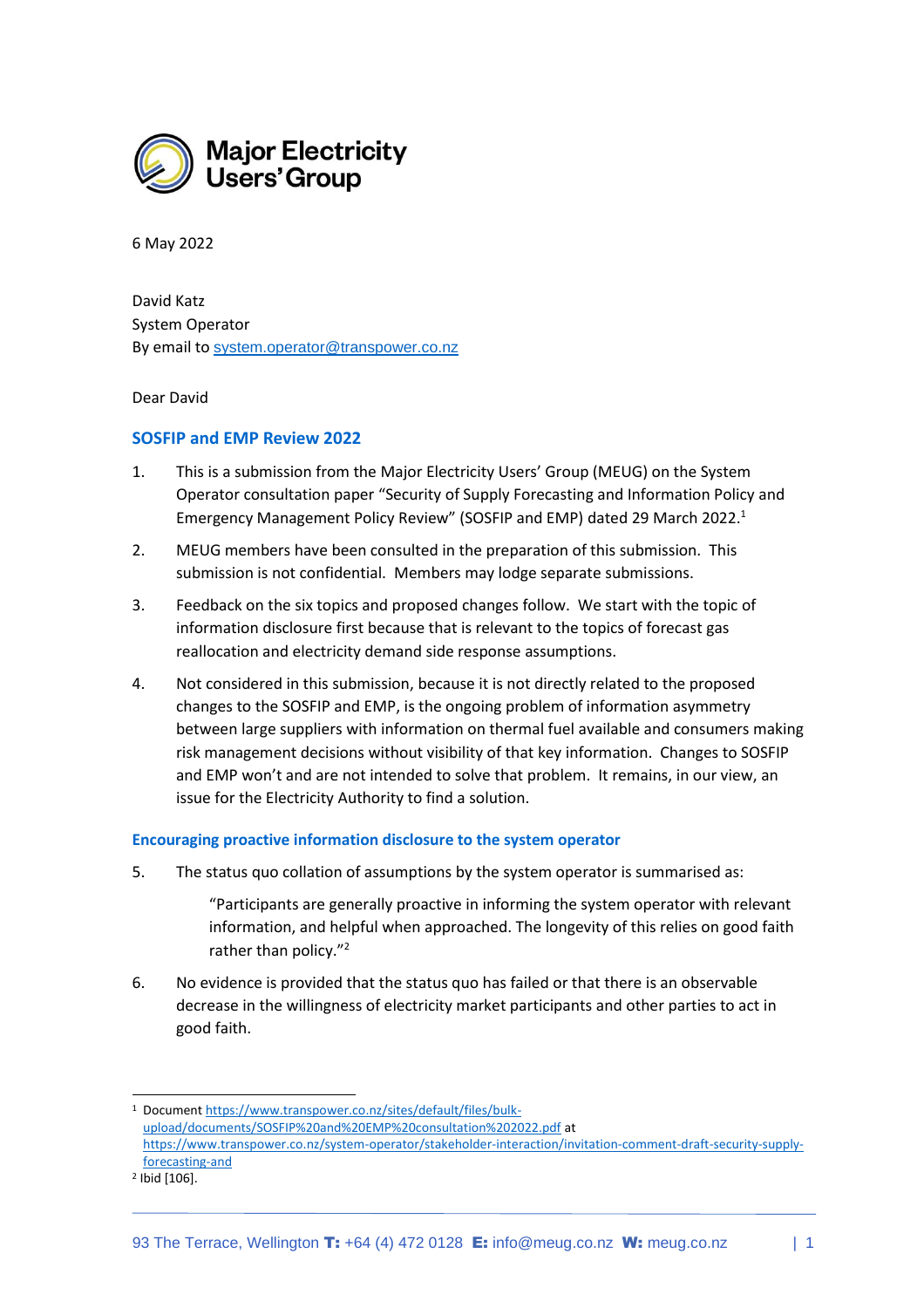

6 May 2022

David Katz System Operator By email to [system.operator@transpower.co.nz](mailto:system.operator@transpower.co.nz)

Dear David

### **SOSFIP and EMP Review 2022**

- 1. This is a submission from the Major Electricity Users' Group (MEUG) on the System Operator consultation paper "Security of Supply Forecasting and Information Policy and Emergency Management Policy Review" (SOSFIP and EMP) dated 29 March 2022. 1
- 2. MEUG members have been consulted in the preparation of this submission. This submission is not confidential. Members may lodge separate submissions.
- 3. Feedback on the six topics and proposed changes follow. We start with the topic of information disclosure first because that is relevant to the topics of forecast gas reallocation and electricity demand side response assumptions.
- 4. Not considered in this submission, because it is not directly related to the proposed changes to the SOSFIP and EMP, is the ongoing problem of information asymmetry between large suppliers with information on thermal fuel available and consumers making risk management decisions without visibility of that key information. Changes to SOSFIP and EMP won't and are not intended to solve that problem. It remains, in our view, an issue for the Electricity Authority to find a solution.

#### **Encouraging proactive information disclosure to the system operator**

- 5. The status quo collation of assumptions by the system operator is summarised as:
	- "Participants are generally proactive in informing the system operator with relevant information, and helpful when approached. The longevity of this relies on good faith rather than policy."<sup>2</sup>
- 6. No evidence is provided that the status quo has failed or that there is an observable decrease in the willingness of electricity market participants and other parties to act in good faith.

<sup>1</sup> Documen[t https://www.transpower.co.nz/sites/default/files/bulk](https://www.transpower.co.nz/sites/default/files/bulk-upload/documents/SOSFIP%20and%20EMP%20consultation%202022.pdf)[upload/documents/SOSFIP%20and%20EMP%20consultation%202022.pdf](https://www.transpower.co.nz/sites/default/files/bulk-upload/documents/SOSFIP%20and%20EMP%20consultation%202022.pdf) at [https://www.transpower.co.nz/system-operator/stakeholder-interaction/invitation-comment-draft-security-supply](https://www.transpower.co.nz/system-operator/stakeholder-interaction/invitation-comment-draft-security-supply-forecasting-and)[forecasting-and](https://www.transpower.co.nz/system-operator/stakeholder-interaction/invitation-comment-draft-security-supply-forecasting-and)

<sup>2</sup> Ibid [106].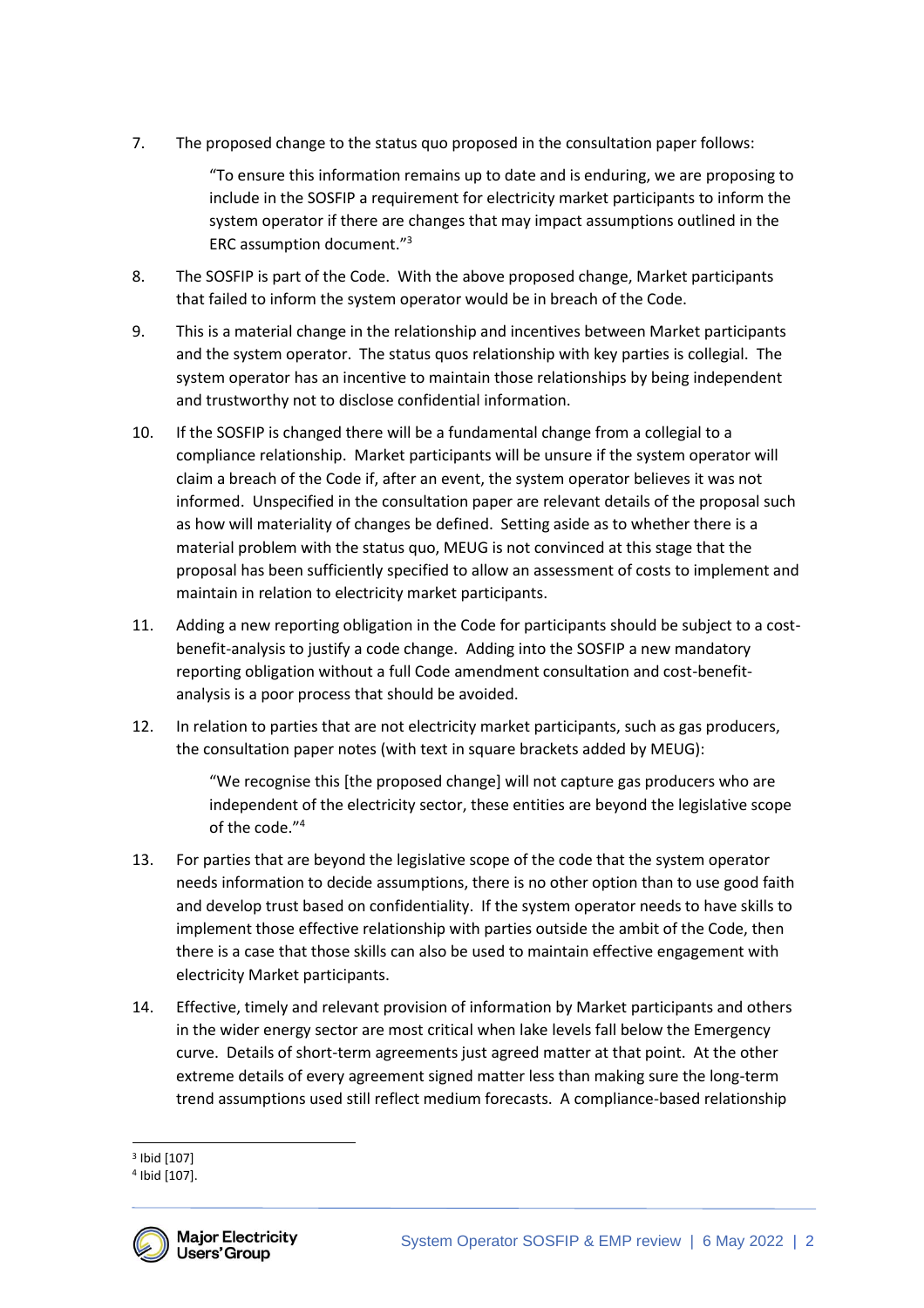7. The proposed change to the status quo proposed in the consultation paper follows:

"To ensure this information remains up to date and is enduring, we are proposing to include in the SOSFIP a requirement for electricity market participants to inform the system operator if there are changes that may impact assumptions outlined in the ERC assumption document." 3

- 8. The SOSFIP is part of the Code. With the above proposed change, Market participants that failed to inform the system operator would be in breach of the Code.
- 9. This is a material change in the relationship and incentives between Market participants and the system operator. The status quos relationship with key parties is collegial. The system operator has an incentive to maintain those relationships by being independent and trustworthy not to disclose confidential information.
- 10. If the SOSFIP is changed there will be a fundamental change from a collegial to a compliance relationship. Market participants will be unsure if the system operator will claim a breach of the Code if, after an event, the system operator believes it was not informed. Unspecified in the consultation paper are relevant details of the proposal such as how will materiality of changes be defined. Setting aside as to whether there is a material problem with the status quo, MEUG is not convinced at this stage that the proposal has been sufficiently specified to allow an assessment of costs to implement and maintain in relation to electricity market participants.
- 11. Adding a new reporting obligation in the Code for participants should be subject to a costbenefit-analysis to justify a code change. Adding into the SOSFIP a new mandatory reporting obligation without a full Code amendment consultation and cost-benefitanalysis is a poor process that should be avoided.
- 12. In relation to parties that are not electricity market participants, such as gas producers, the consultation paper notes (with text in square brackets added by MEUG):

"We recognise this [the proposed change] will not capture gas producers who are independent of the electricity sector, these entities are beyond the legislative scope of the code." 4

- 13. For parties that are beyond the legislative scope of the code that the system operator needs information to decide assumptions, there is no other option than to use good faith and develop trust based on confidentiality. If the system operator needs to have skills to implement those effective relationship with parties outside the ambit of the Code, then there is a case that those skills can also be used to maintain effective engagement with electricity Market participants.
- 14. Effective, timely and relevant provision of information by Market participants and others in the wider energy sector are most critical when lake levels fall below the Emergency curve. Details of short-term agreements just agreed matter at that point. At the other extreme details of every agreement signed matter less than making sure the long-term trend assumptions used still reflect medium forecasts. A compliance-based relationship

<sup>4</sup> Ibid [107].



<sup>3</sup> Ibid [107]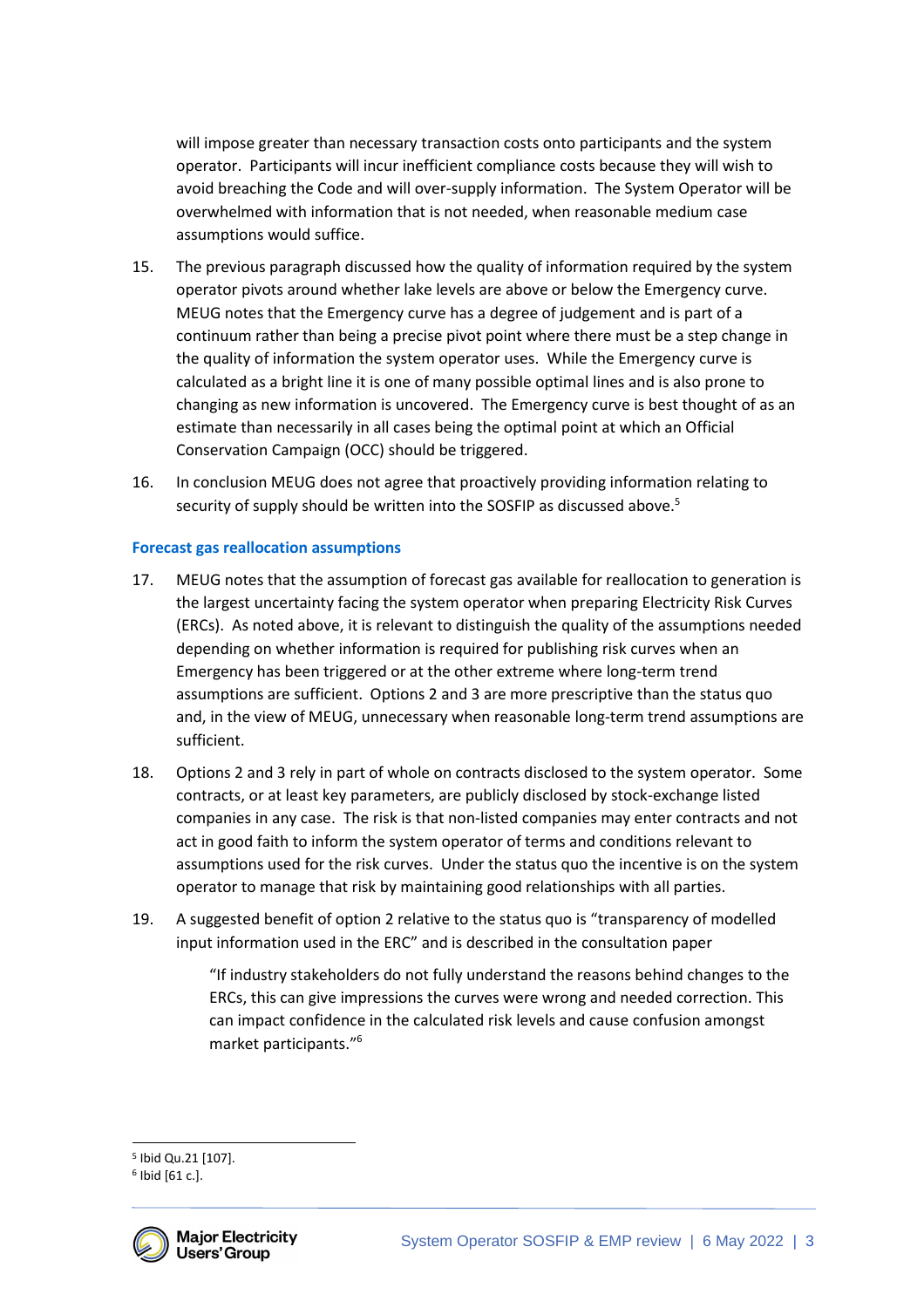will impose greater than necessary transaction costs onto participants and the system operator. Participants will incur inefficient compliance costs because they will wish to avoid breaching the Code and will over-supply information. The System Operator will be overwhelmed with information that is not needed, when reasonable medium case assumptions would suffice.

- 15. The previous paragraph discussed how the quality of information required by the system operator pivots around whether lake levels are above or below the Emergency curve. MEUG notes that the Emergency curve has a degree of judgement and is part of a continuum rather than being a precise pivot point where there must be a step change in the quality of information the system operator uses. While the Emergency curve is calculated as a bright line it is one of many possible optimal lines and is also prone to changing as new information is uncovered. The Emergency curve is best thought of as an estimate than necessarily in all cases being the optimal point at which an Official Conservation Campaign (OCC) should be triggered.
- 16. In conclusion MEUG does not agree that proactively providing information relating to security of supply should be written into the SOSFIP as discussed above.<sup>5</sup>

# **Forecast gas reallocation assumptions**

- 17. MEUG notes that the assumption of forecast gas available for reallocation to generation is the largest uncertainty facing the system operator when preparing Electricity Risk Curves (ERCs). As noted above, it is relevant to distinguish the quality of the assumptions needed depending on whether information is required for publishing risk curves when an Emergency has been triggered or at the other extreme where long-term trend assumptions are sufficient. Options 2 and 3 are more prescriptive than the status quo and, in the view of MEUG, unnecessary when reasonable long-term trend assumptions are sufficient.
- 18. Options 2 and 3 rely in part of whole on contracts disclosed to the system operator. Some contracts, or at least key parameters, are publicly disclosed by stock-exchange listed companies in any case. The risk is that non-listed companies may enter contracts and not act in good faith to inform the system operator of terms and conditions relevant to assumptions used for the risk curves. Under the status quo the incentive is on the system operator to manage that risk by maintaining good relationships with all parties.
- 19. A suggested benefit of option 2 relative to the status quo is "transparency of modelled input information used in the ERC" and is described in the consultation paper

"If industry stakeholders do not fully understand the reasons behind changes to the ERCs, this can give impressions the curves were wrong and needed correction. This can impact confidence in the calculated risk levels and cause confusion amongst market participants."<sup>6</sup>

<sup>6</sup> Ibid [61 c.].



<sup>5</sup> Ibid Qu.21 [107].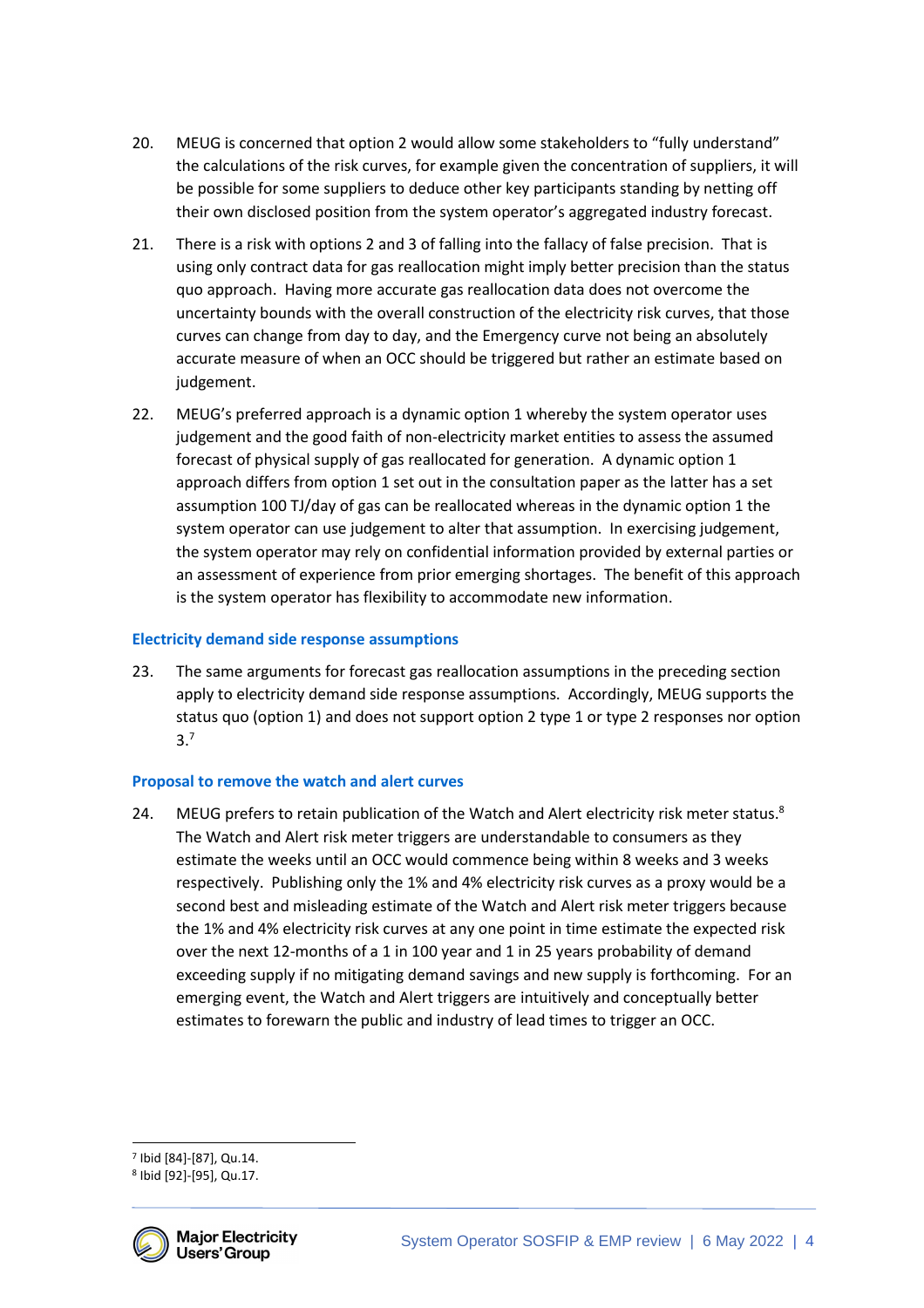- 20. MEUG is concerned that option 2 would allow some stakeholders to "fully understand" the calculations of the risk curves, for example given the concentration of suppliers, it will be possible for some suppliers to deduce other key participants standing by netting off their own disclosed position from the system operator's aggregated industry forecast.
- 21. There is a risk with options 2 and 3 of falling into the fallacy of false precision. That is using only contract data for gas reallocation might imply better precision than the status quo approach. Having more accurate gas reallocation data does not overcome the uncertainty bounds with the overall construction of the electricity risk curves, that those curves can change from day to day, and the Emergency curve not being an absolutely accurate measure of when an OCC should be triggered but rather an estimate based on judgement.
- 22. MEUG's preferred approach is a dynamic option 1 whereby the system operator uses judgement and the good faith of non-electricity market entities to assess the assumed forecast of physical supply of gas reallocated for generation. A dynamic option 1 approach differs from option 1 set out in the consultation paper as the latter has a set assumption 100 TJ/day of gas can be reallocated whereas in the dynamic option 1 the system operator can use judgement to alter that assumption. In exercising judgement, the system operator may rely on confidential information provided by external parties or an assessment of experience from prior emerging shortages. The benefit of this approach is the system operator has flexibility to accommodate new information.

### **Electricity demand side response assumptions**

23. The same arguments for forecast gas reallocation assumptions in the preceding section apply to electricity demand side response assumptions. Accordingly, MEUG supports the status quo (option 1) and does not support option 2 type 1 or type 2 responses nor option 3.7

#### **Proposal to remove the watch and alert curves**

24. MEUG prefers to retain publication of the Watch and Alert electricity risk meter status.<sup>8</sup> The Watch and Alert risk meter triggers are understandable to consumers as they estimate the weeks until an OCC would commence being within 8 weeks and 3 weeks respectively. Publishing only the 1% and 4% electricity risk curves as a proxy would be a second best and misleading estimate of the Watch and Alert risk meter triggers because the 1% and 4% electricity risk curves at any one point in time estimate the expected risk over the next 12-months of a 1 in 100 year and 1 in 25 years probability of demand exceeding supply if no mitigating demand savings and new supply is forthcoming. For an emerging event, the Watch and Alert triggers are intuitively and conceptually better estimates to forewarn the public and industry of lead times to trigger an OCC.

<sup>8</sup> Ibid [92]-[95], Qu.17.



<sup>7</sup> Ibid [84]-[87], Qu.14.